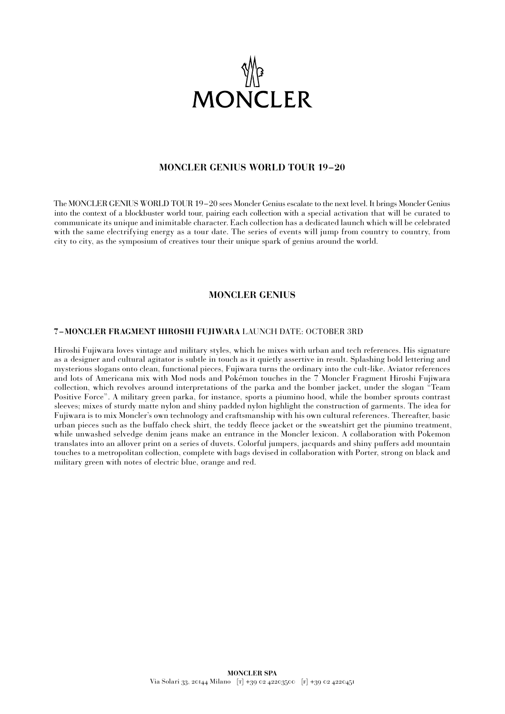

## **MONCLER GENIUS WORLD TOUR 19–20**

The MONCLER GENIUS WORLD TOUR 19–20 sees Moncler Genius escalate to the next level. It brings Moncler Genius into the context of a blockbuster world tour, pairing each collection with a special activation that will be curated to communicate its unique and inimitable character. Each collection has a dedicated launch which will be celebrated with the same electrifying energy as a tour date. The series of events will jump from country to country, from city to city, as the symposium of creatives tour their unique spark of genius around the world.

### **MONCLER GENIUS**

#### **7 –MONCLER FRAGMENT HIROSHI FUJIWARA** LAUNCH DATE: OCTOBER 3RD

Hiroshi Fujiwara loves vintage and military styles, which he mixes with urban and tech references. His signature as a designer and cultural agitator is subtle in touch as it quietly assertive in result. Splashing bold lettering and mysterious slogans onto clean, functional pieces, Fujiwara turns the ordinary into the cult-like. Aviator references and lots of Americana mix with Mod nods and Pokémon touches in the 7 Moncler Fragment Hiroshi Fujiwara collection, which revolves around interpretations of the parka and the bomber jacket, under the slogan "Team Positive Force". A military green parka, for instance, sports a piumino hood, while the bomber sprouts contrast sleeves; mixes of sturdy matte nylon and shiny padded nylon highlight the construction of garments. The idea for Fujiwara is to mix Moncler's own technology and craftsmanship with his own cultural references. Thereafter, basic urban pieces such as the buffalo check shirt, the teddy fleece jacket or the sweatshirt get the piumino treatment, while unwashed selvedge denim jeans make an entrance in the Moncler lexicon. A collaboration with Pokemon translates into an allover print on a series of duvets. Colorful jumpers, jacquards and shiny puffers add mountain touches to a metropolitan collection, complete with bags devised in collaboration with Porter, strong on black and military green with notes of electric blue, orange and red.